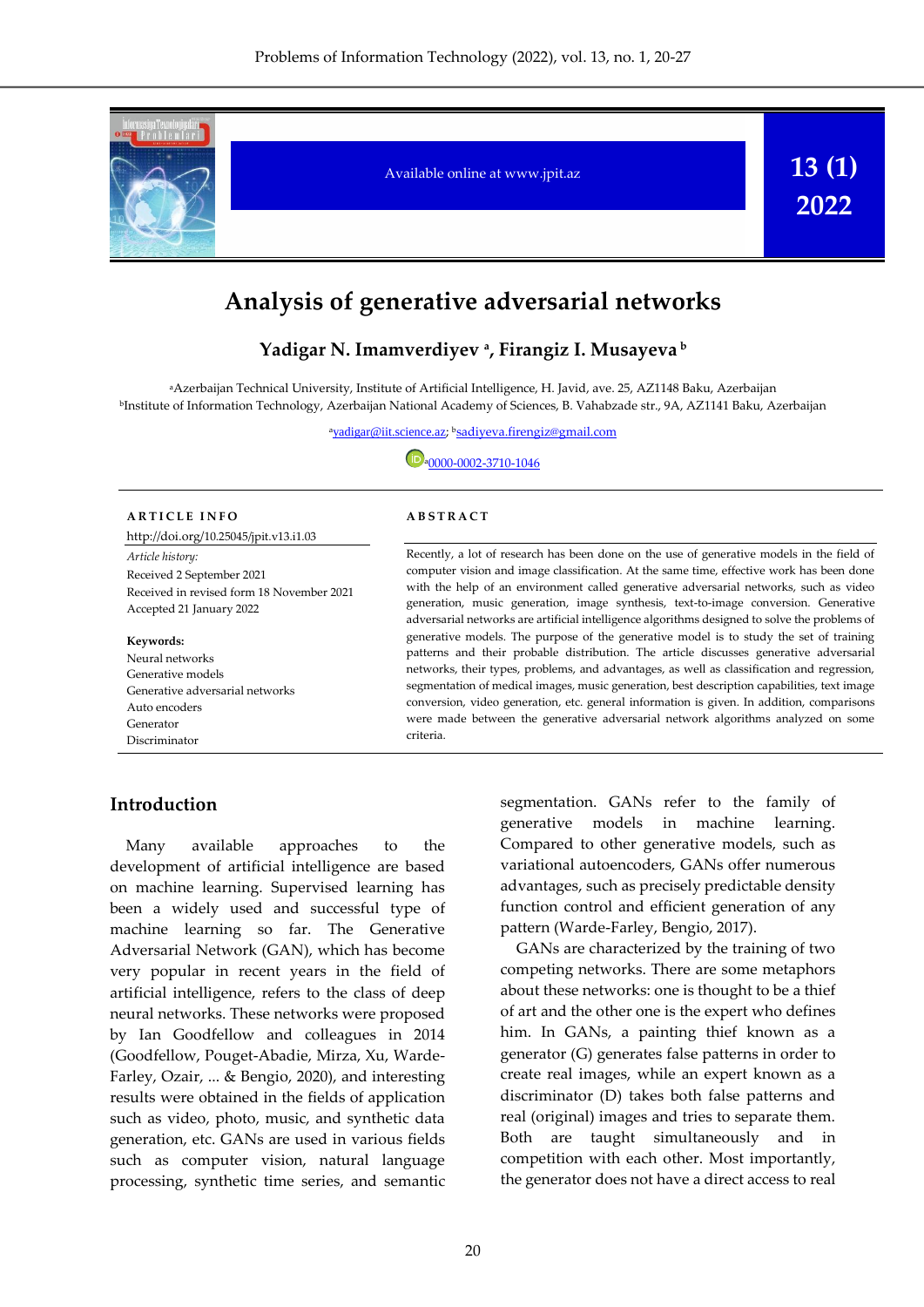

# **Analysis of generative adversarial networks**

### **Yadigar N. Imamverdiyev <sup>a</sup> , Firangiz I. Musayeva <sup>b</sup>**

<sup>a</sup>Azerbaijan Technical University, Institute of Artificial Intelligence, H. Javid, ave. 25, AZ1148 Baku, Azerbaijan <sup>b</sup>Institute of Information Technology, Azerbaijan National Academy of Sciences, B. Vahabzade str., 9A, AZ1141 Baku, Azerbaijan

<sup>a</sup>yadigar@iit.science.az; bsadiyeva.firengiz@gmail.com

D<sub>a</sub>[0000-0002-3710-1046](https://orcid.org/0000-0002-3710-1046)

| <b>ARTICLE INFO</b>                                                                                                    | <b>ABSTRACT</b>                                                                                                                                                                                                                                                                                                                                                                                                                                                                                                                                                            |
|------------------------------------------------------------------------------------------------------------------------|----------------------------------------------------------------------------------------------------------------------------------------------------------------------------------------------------------------------------------------------------------------------------------------------------------------------------------------------------------------------------------------------------------------------------------------------------------------------------------------------------------------------------------------------------------------------------|
| http://doi.org/10.25045/jpit.v13.i1.03                                                                                 |                                                                                                                                                                                                                                                                                                                                                                                                                                                                                                                                                                            |
| Article history:<br>Received 2 September 2021<br>Received in revised form 18 November 2021<br>Accepted 21 January 2022 | Recently, a lot of research has been done on the use of generative models in the field of<br>computer vision and image classification. At the same time, effective work has been done<br>with the help of an environment called generative adversarial networks, such as video<br>generation, music generation, image synthesis, text-to-image conversion. Generative<br>adversarial networks are artificial intelligence algorithms designed to solve the problems of                                                                                                     |
| Keywords:<br>Neural networks<br>Generative models<br>Generative adversarial networks<br>Auto encoders<br>Generator     | generative models. The purpose of the generative model is to study the set of training<br>patterns and their probable distribution. The article discusses generative adversarial<br>networks, their types, problems, and advantages, as well as classification and regression,<br>segmentation of medical images, music generation, best description capabilities, text image<br>conversion, video generation, etc. general information is given. In addition, comparisons<br>were made between the generative adversarial network algorithms analyzed on some<br>criteria |

#### **Introduction**

Discriminator

Many available approaches to the development of artificial intelligence are based on machine learning. Supervised learning has been a widely used and successful type of machine learning so far. The Generative Adversarial Network (GAN), which has become very popular in recent years in the field of artificial intelligence, refers to the class of deep neural networks. These networks were proposed by Ian Goodfellow and colleagues in 2014 (Goodfellow, Pouget-Abadie, Mirza, Xu, Warde-Farley, Ozair, ... & Bengio, 2020), and interesting results were obtained in the fields of application such as video, photo, music, and synthetic data generation, etc. GANs are used in various fields such as computer vision, natural language processing, synthetic time series, and semantic

segmentation. GANs refer to the family of generative models in machine learning. Compared to other generative models, such as variational autoencoders, GANs offer numerous advantages, such as precisely predictable density function control and efficient generation of any pattern (Warde-Farley, Bengio, 2017).

GANs are characterized by the training of two competing networks. There are some metaphors about these networks: one is thought to be a thief of art and the other one is the expert who defines him. In GANs, a painting thief known as a generator (G) generates false patterns in order to create real images, while an expert known as a discriminator (D) takes both false patterns and real (original) images and tries to separate them. Both are taught simultaneously and in competition with each other. Most importantly, the generator does not have a direct access to real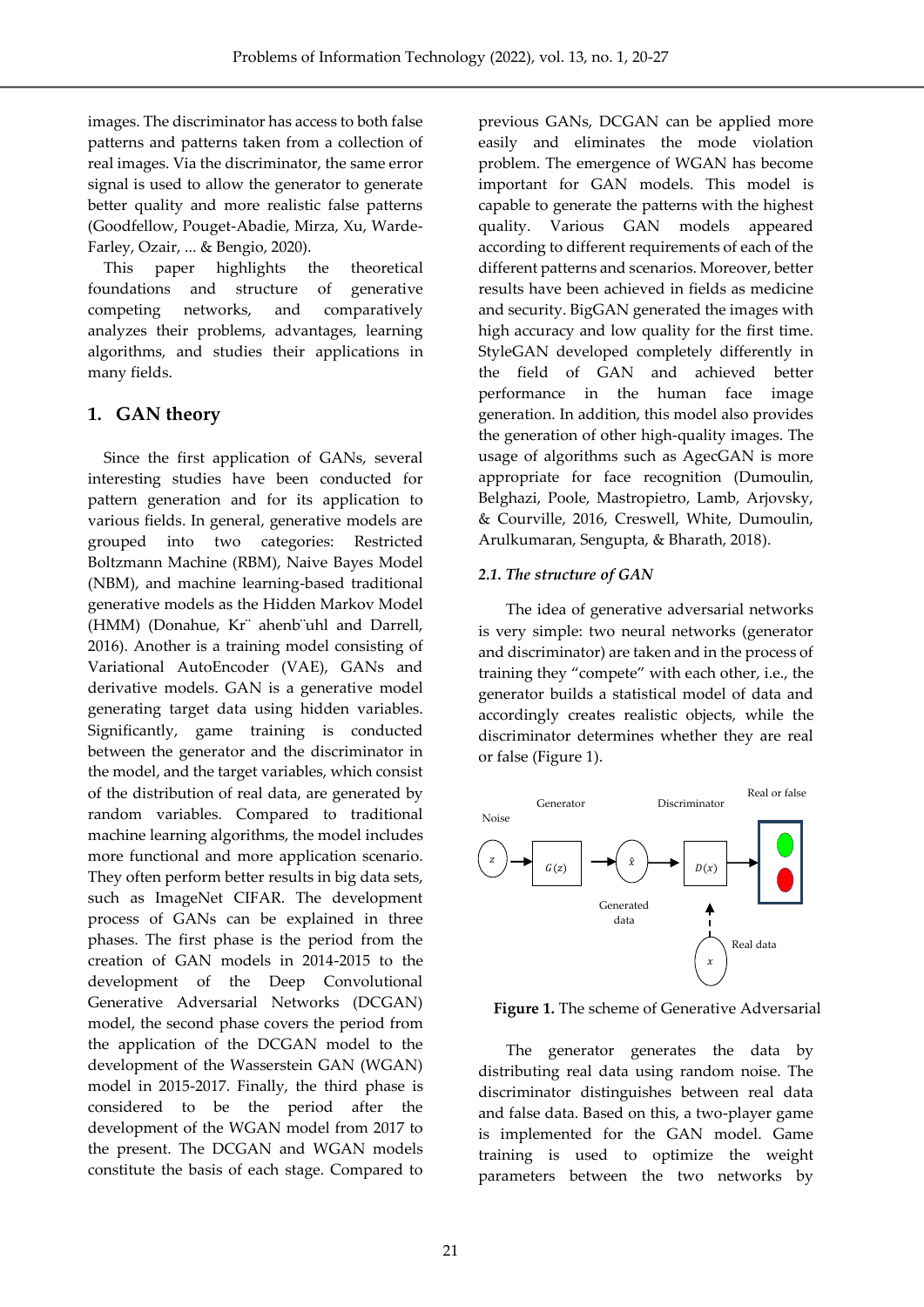images. The discriminator has access to both false patterns and patterns taken from a collection of real images. Via the discriminator, the same error signal is used to allow the generator to generate better quality and more realistic false patterns (Goodfellow, Pouget-Abadie, Mirza, Xu, Warde-Farley, Ozair, ... & Bengio, 2020).

This paper highlights the theoretical foundations and structure of generative competing networks, and comparatively analyzes their problems, advantages, learning algorithms, and studies their applications in many fields.

## **1. GAN theory**

Since the first application of GANs, several interesting studies have been conducted for pattern generation and for its application to various fields. In general, generative models are grouped into two categories: Restricted Boltzmann Machine (RBM), Naive Bayes Model (NBM), and machine learning-based traditional generative models as the Hidden Markov Model (HMM) (Donahue, Kr¨ ahenb¨uhl and Darrell, 2016). Another is a training model consisting of Variational AutoEncoder (VAE), GANs and derivative models. GAN is a generative model generating target data using hidden variables. Significantly, game training is conducted between the generator and the discriminator in the model, and the target variables, which consist of the distribution of real data, are generated by random variables. Compared to traditional machine learning algorithms, the model includes more functional and more application scenario. They often perform better results in big data sets, such as ImageNet CIFAR. The development process of GANs can be explained in three phases. The first phase is the period from the creation of GAN models in 2014-2015 to the development of the Deep Convolutional Generative Adversarial Networks (DCGAN) model, the second phase covers the period from the application of the DCGAN model to the development of the Wasserstein GAN (WGAN) model in 2015-2017. Finally, the third phase is considered to be the period after the development of the WGAN model from 2017 to the present. The DCGAN and WGAN models constitute the basis of each stage. Compared to

previous GANs, DCGAN can be applied more easily and eliminates the mode violation problem. The emergence of WGAN has become important for GAN models. This model is capable to generate the patterns with the highest quality. Various GAN models appeared according to different requirements of each of the different patterns and scenarios. Moreover, better results have been achieved in fields as medicine and security. BigGAN generated the images with high accuracy and low quality for the first time. StyleGAN developed completely differently in the field of GAN and achieved better performance in the human face image generation. In addition, this model also provides the generation of other high-quality images. The usage of algorithms such as AgecGAN is more appropriate for face recognition (Dumoulin, Belghazi, Poole, Mastropietro, Lamb, Arjovsky, & Courville, 2016, Creswell, White, Dumoulin, Arulkumaran, Sengupta, & Bharath, 2018).

#### *2.1. The structure of GAN*

The idea of generative adversarial networks is very simple: two neural networks (generator and discriminator) are taken and in the process of training they "compete" with each other, i.e., the generator builds a statistical model of data and accordingly creates realistic objects, while the discriminator determines whether they are real or false (Figure 1).



**Figure 1.** The scheme of Generative Adversarial

The generator generates the data by distributing real data using random noise. The discriminator distinguishes between real data and false data. Based on this, a two-player game is implemented for the GAN model. Game training is used to optimize the weight parameters between the two networks by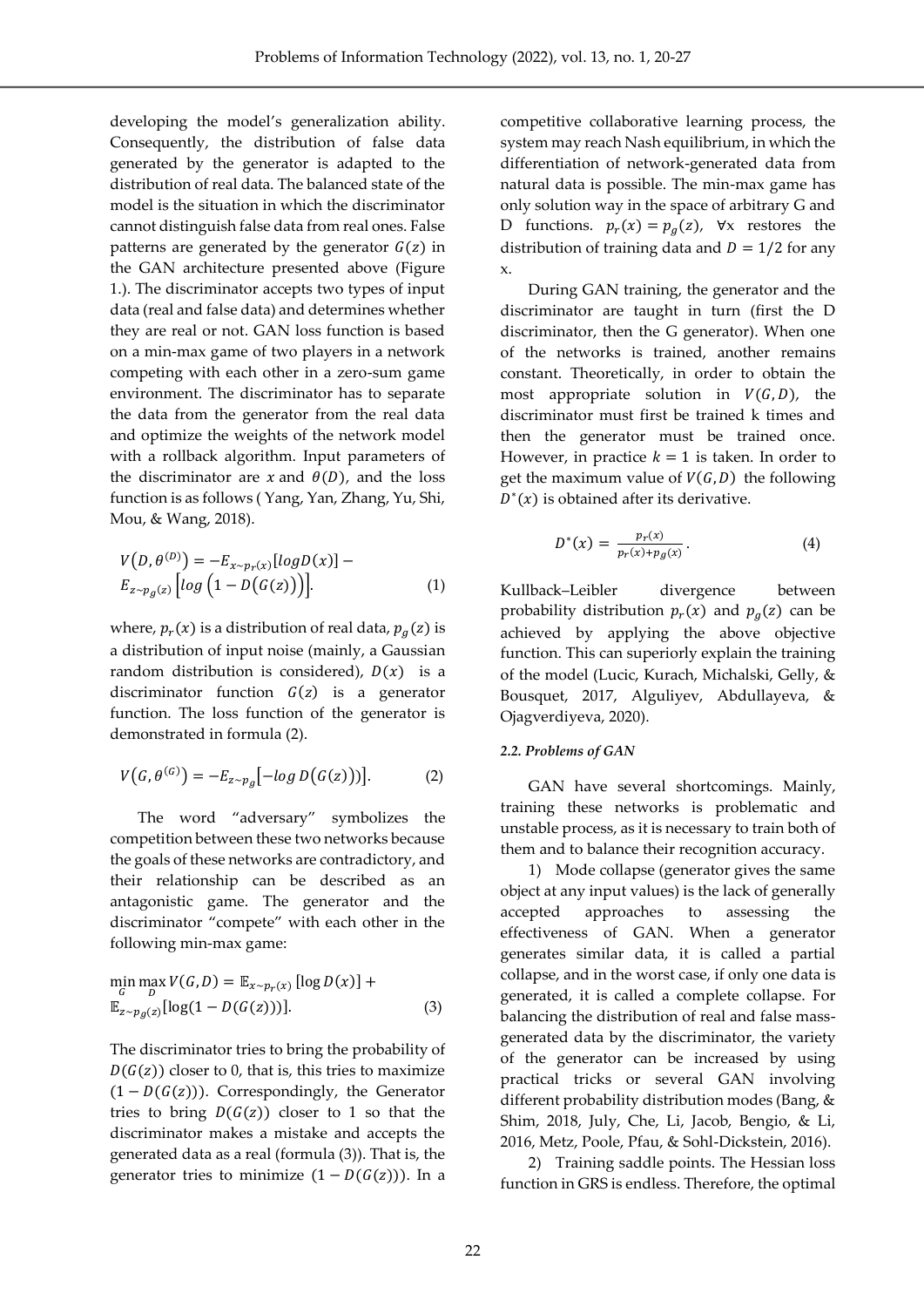developing the model's generalization ability. Consequently, the distribution of false data generated by the generator is adapted to the distribution of real data. The balanced state of the model is the situation in which the discriminator cannot distinguish false data from real ones. False patterns are generated by the generator  $G(z)$  in the GAN architecture presented above (Figure 1.). The discriminator accepts two types of input data (real and false data) and determines whether they are real or not. GAN loss function is based on a min-max game of two players in a network competing with each other in a zero-sum game environment. The discriminator has to separate the data from the generator from the real data and optimize the weights of the network model with a rollback algorithm. Input parameters of the discriminator are  $x$  and  $\theta(D)$ , and the loss function is as follows ( Yang, Yan, Zhang, Yu, Shi, Mou, & Wang, 2018).

$$
V(D, \theta^{(D)}) = -E_{x \sim p_T(x)}[logD(x)] - E_{z \sim p_g(z)}[log(1 - D(G(z)))]
$$
\n(1)

where,  $p_r(x)$  is a distribution of real data,  $p_g(z)$  is a distribution of input noise (mainly, a Gaussian random distribution is considered),  $D(x)$  is a discriminator function  $G(z)$  is a generator function. The loss function of the generator is demonstrated in formula (2).

$$
V(G, \theta^{(G)}) = -E_{z \sim p_g}[-\log D(G(z)))].
$$
 (2)

The word "adversary" symbolizes the competition between these two networks because the goals of these networks are contradictory, and their relationship can be described as an antagonistic game. The generator and the discriminator "compete" with each other in the following min-max game:

$$
\min_{G} \max_{D} V(G, D) = \mathbb{E}_{x \sim p_T(x)} \left[ \log D(x) \right] +
$$
  

$$
\mathbb{E}_{z \sim p_g(z)} \left[ \log(1 - D(G(z))) \right].
$$
 (3)

The discriminator tries to bring the probability of  $D(G(z))$  closer to 0, that is, this tries to maximize  $(1 - D(G(z)))$ . Correspondingly, the Generator tries to bring  $D(G(z))$  closer to 1 so that the discriminator makes a mistake and accepts the generated data as a real (formula (3)). That is, the generator tries to minimize  $(1 - D(G(z)))$ . In a

competitive collaborative learning process, the system may reach Nash equilibrium, in which the differentiation of network-generated data from natural data is possible. The min-max game has only solution way in the space of arbitrary G and D functions.  $p_r(x) = p_g(z)$ ,  $\forall x$  restores the distribution of training data and  $D = 1/2$  for any x.

During GAN training, the generator and the discriminator are taught in turn (first the D discriminator, then the G generator). When one of the networks is trained, another remains constant. Theoretically, in order to obtain the most appropriate solution in  $V(G, D)$ , the discriminator must first be trained k times and then the generator must be trained once. However, in practice  $k = 1$  is taken. In order to get the maximum value of  $V(G, D)$  the following  $D^*(x)$  is obtained after its derivative.

$$
D^*(x) = \frac{p_r(x)}{p_r(x) + p_g(x)}.
$$
 (4)

Kullback–Leibler divergence between probability distribution  $p_r(x)$  and  $p_g(z)$  can be achieved by applying the above objective function. This can superiorly explain the training of the model (Lucic, Kurach, Michalski, Gelly, & Bousquet, 2017, Alguliyev, Abdullayeva, & Ojagverdiyeva, 2020).

#### *2.2. Problems of GAN*

GAN have several shortcomings. Mainly, training these networks is problematic and unstable process, as it is necessary to train both of them and to balance their recognition accuracy.

1) Mode collapse (generator gives the same object at any input values) is the lack of generally accepted approaches to assessing the effectiveness of GAN. When a generator generates similar data, it is called a partial collapse, and in the worst case, if only one data is generated, it is called a complete collapse. For balancing the distribution of real and false massgenerated data by the discriminator, the variety of the generator can be increased by using practical tricks or several GAN involving different probability distribution modes (Bang, & Shim, 2018, July, Che, Li, Jacob, Bengio, & Li, 2016, Metz, Poole, Pfau, & Sohl-Dickstein, 2016).

2) Training saddle points. The Hessian loss function in GRS is endless. Therefore, the optimal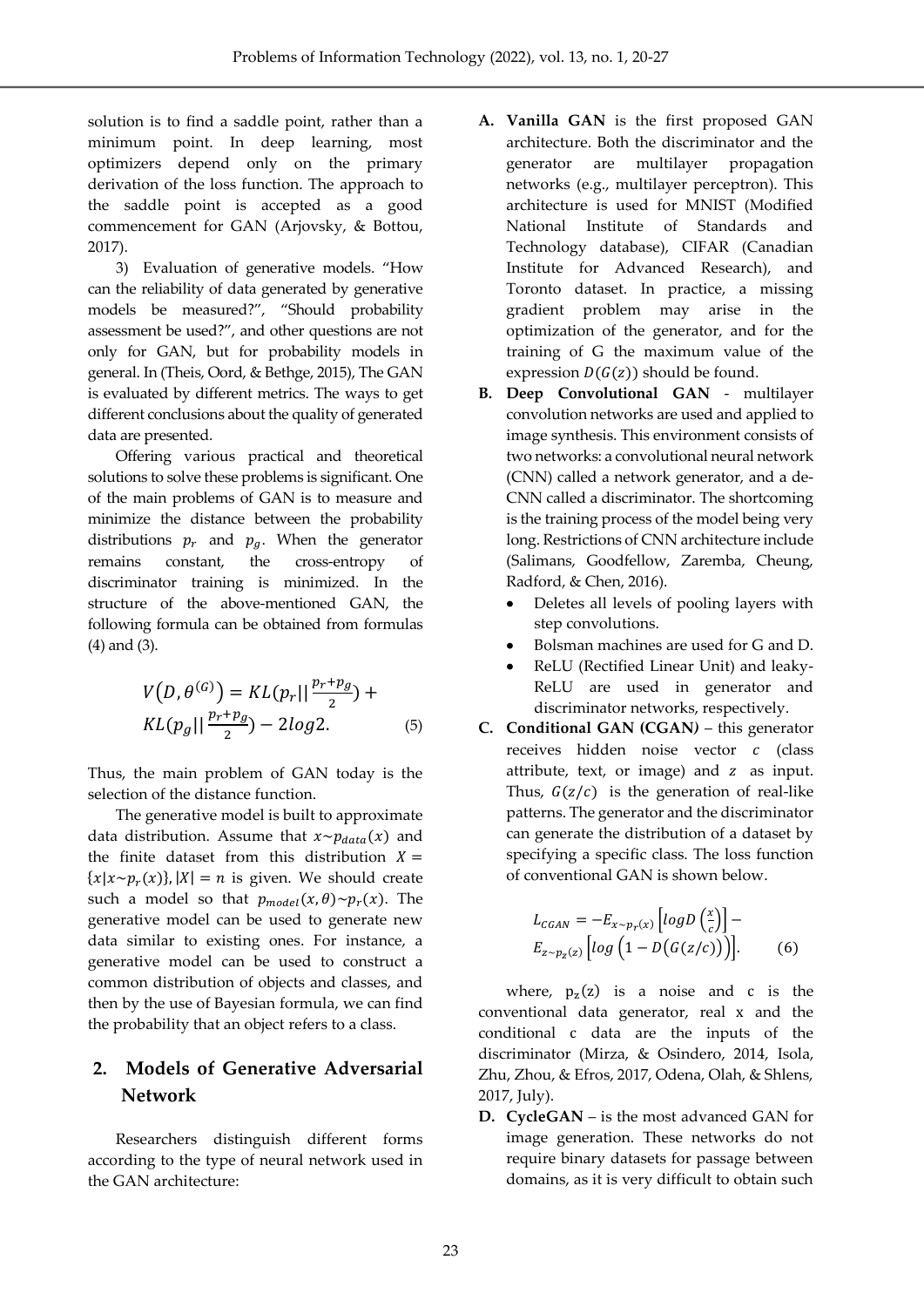solution is to find a saddle point, rather than a minimum point. In deep learning, most optimizers depend only on the primary derivation of the loss function. The approach to the saddle point is accepted as a good commencement for GAN (Arjovsky, & Bottou, 2017).

3) Evaluation of generative models. "How can the reliability of data generated by generative models be measured?", "Should probability assessment be used?", and other questions are not only for GAN, but for probability models in general. In (Theis, Oord, & Bethge, 2015), The GAN is evaluated by different metrics. The ways to get different conclusions about the quality of generated data are presented.

Offering various practical and theoretical solutions to solve these problems is significant. One of the main problems of GAN is to measure and minimize the distance between the probability distributions  $p_r$  and  $p_q$ . When the generator remains constant, the cross-entropy of discriminator training is minimized. In the structure of the above-mentioned GAN, the following formula can be obtained from formulas (4) and (3).

$$
V(D, \theta^{(G)}) = KL(p_r||\frac{p_r + p_g}{2}) + KL(p_g||\frac{p_r + p_g}{2}) - 2log2.
$$
 (5)

Thus, the main problem of GAN today is the selection of the distance function.

The generative model is built to approximate data distribution. Assume that  $x \sim p_{data}(x)$  and the finite dataset from this distribution  $X =$  ${x|x \sim p_r(x)}$ ,  $|X| = n$  is given. We should create such a model so that  $p_{model}(x, \theta) \sim p_r(x)$ . The generative model can be used to generate new data similar to existing ones. For instance, a generative model can be used to construct a common distribution of objects and classes, and then by the use of Bayesian formula, we can find the probability that an object refers to a class.

## **2. Models of Generative Adversarial Network**

Researchers distinguish different forms according to the type of neural network used in the GAN architecture:

- **A. Vanilla GAN** is the first proposed GAN architecture. Both the discriminator and the generator are multilayer propagation networks (e.g., multilayer perceptron). This architecture is used for MNIST (Modified National Institute of Standards and Technology database), CIFAR (Canadian Institute for Advanced Research), and Toronto dataset. In practice, a missing gradient problem may arise in the optimization of the generator, and for the training of G the maximum value of the expression  $D(G(z))$  should be found.
- **B. Deep Convolutional GAN**  multilayer convolution networks are used and applied to image synthesis. This environment consists of two networks: a convolutional neural network (CNN) called a network generator, and a de-CNN called a discriminator. The shortcoming is the training process of the model being very long. Restrictions of CNN architecture include (Salimans, Goodfellow, Zaremba, Cheung, Radford, & Chen, 2016).
	- Deletes all levels of pooling layers with step convolutions.
	- Bolsman machines are used for G and D.
	- ReLU (Rectified Linear Unit) and leaky-ReLU are used in generator and discriminator networks, respectively.
- **C. Conditional GAN (CGAN***)* this generator receives hidden noise vector  $c$  (class attribute, text, or image) and  $z$  as input. Thus,  $G(z/c)$  is the generation of real-like patterns. The generator and the discriminator can generate the distribution of a dataset by specifying a specific class. The loss function of conventional GAN is shown below.

$$
L_{CGAN} = -E_{x \sim p_r(x)} \left[ log D \left( \frac{x}{c} \right) \right] -
$$
  
\n
$$
E_{z \sim p_z(z)} \left[ log \left( 1 - D(G(z/c)) \right) \right].
$$
 (6)

where,  $p_z(z)$  is a noise and c is the conventional data generator, real x and the conditional c data are the inputs of the discriminator (Mirza, & Osindero, 2014, Isola, Zhu, Zhou, & Efros, 2017, Odena, Olah, & Shlens, 2017, July).

**D. CycleGAN** – is the most advanced GAN for image generation. These networks do not require binary datasets for passage between domains, as it is very difficult to obtain such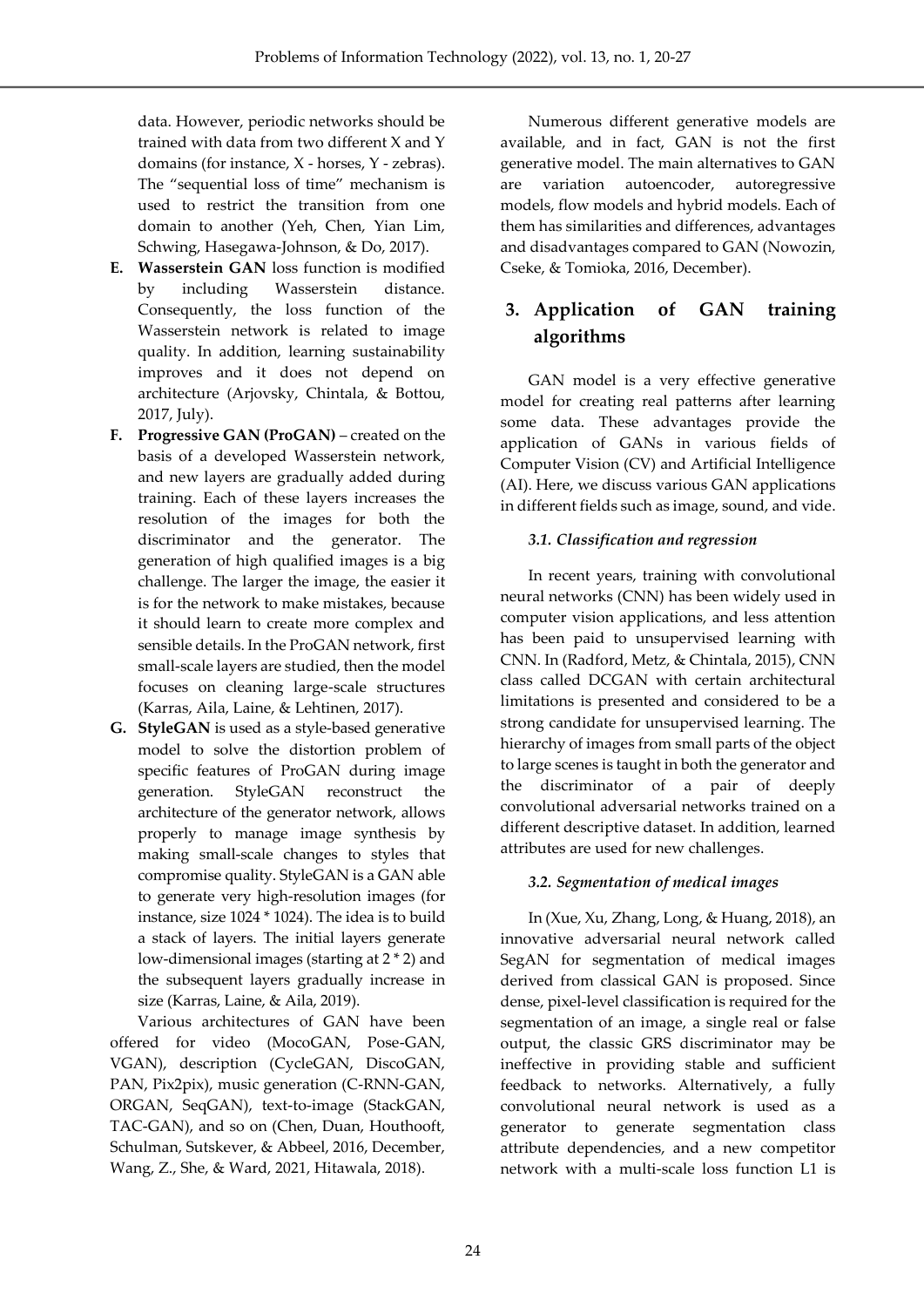data. However, periodic networks should be trained with data from two different X and Y domains (for instance, X - horses, Y - zebras). The "sequential loss of time" mechanism is used to restrict the transition from one domain to another (Yeh, Chen, Yian Lim, Schwing, Hasegawa-Johnson, & Do, 2017).

- **E. Wasserstein GAN** loss function is modified by including Wasserstein distance. Consequently, the loss function of the Wasserstein network is related to image quality. In addition, learning sustainability improves and it does not depend on architecture (Arjovsky, Chintala, & Bottou, 2017, July).
- **F. Progressive GAN (ProGAN)** created on the basis of a developed Wasserstein network, and new layers are gradually added during training. Each of these layers increases the resolution of the images for both the discriminator and the generator. The generation of high qualified images is a big challenge. The larger the image, the easier it is for the network to make mistakes, because it should learn to create more complex and sensible details. In the ProGAN network, first small-scale layers are studied, then the model focuses on cleaning large-scale structures (Karras, Aila, Laine, & Lehtinen, 2017).
- **G. StyleGAN** is used as a style-based generative model to solve the distortion problem of specific features of ProGAN during image generation. StyleGAN reconstruct the architecture of the generator network, allows properly to manage image synthesis by making small-scale changes to styles that compromise quality. StyleGAN is a GAN able to generate very high-resolution images (for instance, size 1024 \* 1024). The idea is to build a stack of layers. The initial layers generate low-dimensional images (starting at 2 \* 2) and the subsequent layers gradually increase in size (Karras, Laine, & Aila, 2019).

Various architectures of GAN have been offered for video (MocoGAN, Pose-GAN, VGAN), description (CycleGAN, DiscoGAN, PAN, Pix2pix), music generation (C-RNN-GAN, ORGAN, SeqGAN), text-to-image (StackGAN, TAC-GAN), and so on (Chen, Duan, Houthooft, Schulman, Sutskever, & Abbeel, 2016, December, Wang, Z., She, & Ward, 2021, Hitawala, 2018).

Numerous different generative models are available, and in fact, GAN is not the first generative model. The main alternatives to GAN are variation autoencoder, autoregressive models, flow models and hybrid models. Each of them has similarities and differences, advantages and disadvantages compared to GAN (Nowozin, Cseke, & Tomioka, 2016, December).

## **3. Application of GAN training algorithms**

GAN model is a very effective generative model for creating real patterns after learning some data. These advantages provide the application of GANs in various fields of Computer Vision (CV) and Artificial Intelligence (AI). Here, we discuss various GAN applications in different fields such as image, sound, and vide.

#### *3.1. Classification and regression*

In recent years, training with convolutional neural networks (CNN) has been widely used in computer vision applications, and less attention has been paid to unsupervised learning with CNN. In (Radford, Metz, & Chintala, 2015), CNN class called DCGAN with certain architectural limitations is presented and considered to be a strong candidate for unsupervised learning. The hierarchy of images from small parts of the object to large scenes is taught in both the generator and the discriminator of a pair of deeply convolutional adversarial networks trained on a different descriptive dataset. In addition, learned attributes are used for new challenges.

#### *3.2. Segmentation of medical images*

In (Xue, Xu, Zhang, Long, & Huang, 2018), an innovative adversarial neural network called SegAN for segmentation of medical images derived from classical GAN is proposed. Since dense, pixel-level classification is required for the segmentation of an image, a single real or false output, the classic GRS discriminator may be ineffective in providing stable and sufficient feedback to networks. Alternatively, a fully convolutional neural network is used as a generator to generate segmentation class attribute dependencies, and a new competitor network with a multi-scale loss function L1 is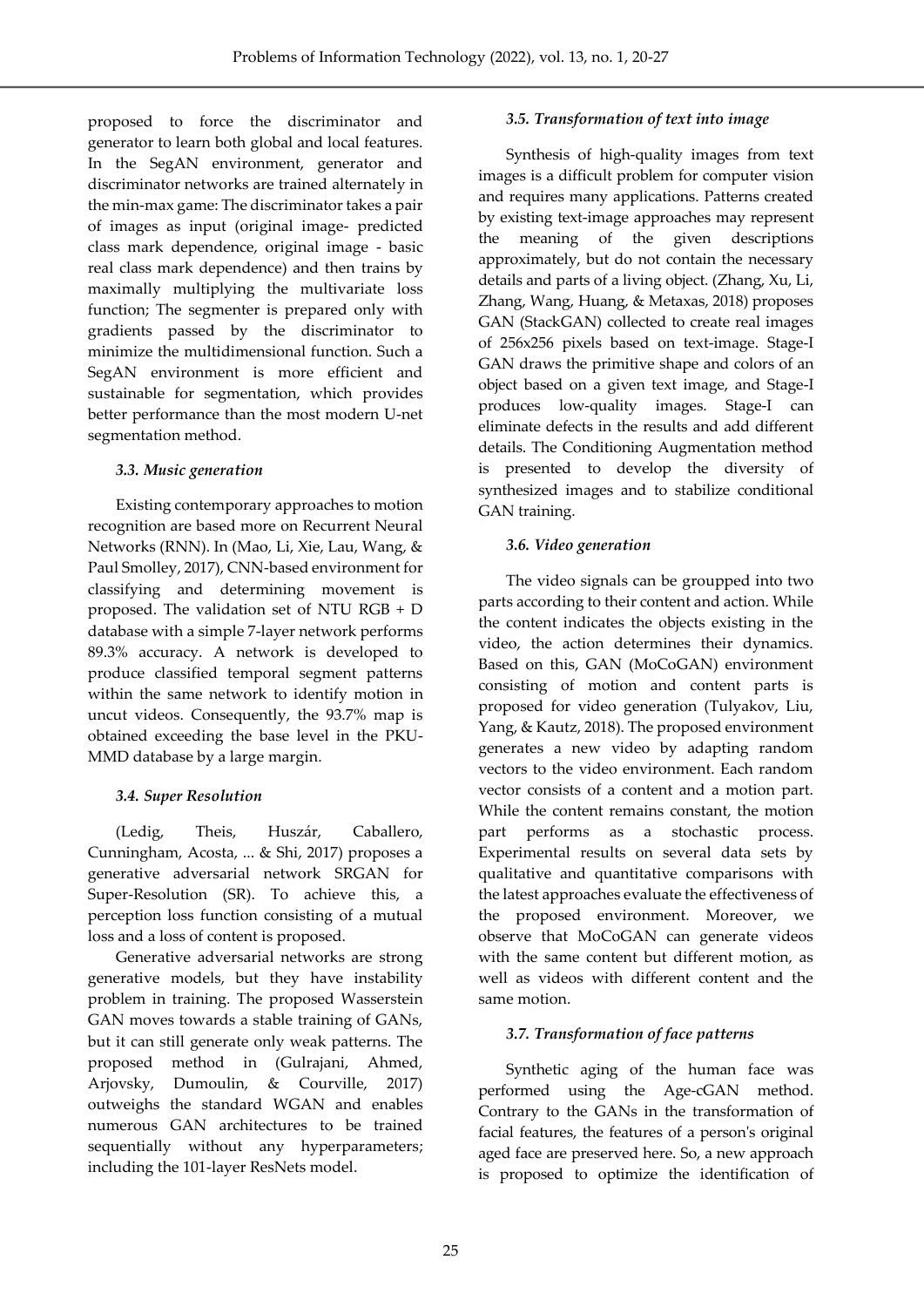proposed to force the discriminator and generator to learn both global and local features. In the SegAN environment, generator and discriminator networks are trained alternately in the min-max game: The discriminator takes a pair of images as input (original image- predicted class mark dependence, original image - basic real class mark dependence) and then trains by maximally multiplying the multivariate loss function; The segmenter is prepared only with gradients passed by the discriminator to minimize the multidimensional function. Such a SegAN environment is more efficient and sustainable for segmentation, which provides better performance than the most modern U-net segmentation method.

#### *3.3. Music generation*

Existing contemporary approaches to motion recognition are based more on Recurrent Neural Networks (RNN). In (Mao, Li, Xie, Lau, Wang, & Paul Smolley, 2017), CNN-based environment for classifying and determining movement is proposed. The validation set of NTU RGB + D database with a simple 7-layer network performs 89.3% accuracy. A network is developed to produce classified temporal segment patterns within the same network to identify motion in uncut videos. Consequently, the 93.7% map is obtained exceeding the base level in the PKU-MMD database by a large margin.

#### *3.4. Super Resolution*

(Ledig, Theis, Huszár, Caballero, Cunningham, Acosta, ... & Shi, 2017) proposes a generative adversarial network SRGAN for Super-Resolution (SR). To achieve this, a perception loss function consisting of a mutual loss and a loss of content is proposed.

Generative adversarial networks are strong generative models, but they have instability problem in training. The proposed Wasserstein GAN moves towards a stable training of GANs, but it can still generate only weak patterns. The proposed method in (Gulrajani, Ahmed, Arjovsky, Dumoulin, & Courville, 2017) outweighs the standard WGAN and enables numerous GAN architectures to be trained sequentially without any hyperparameters; including the 101-layer ResNets model.

#### *3.5. Transformation of text into image*

Synthesis of high-quality images from text images is a difficult problem for computer vision and requires many applications. Patterns created by existing text-image approaches may represent the meaning of the given descriptions approximately, but do not contain the necessary details and parts of a living object. (Zhang, Xu, Li, Zhang, Wang, Huang, & Metaxas, 2018) proposes GAN (StackGAN) collected to create real images of 256x256 pixels based on text-image. Stage-I GAN draws the primitive shape and colors of an object based on a given text image, and Stage-I produces low-quality images. Stage-I can eliminate defects in the results and add different details. The Conditioning Augmentation method is presented to develop the diversity of synthesized images and to stabilize conditional GAN training.

#### *3.6. Video generation*

The video signals can be groupped into two parts according to their content and action. While the content indicates the objects existing in the video, the action determines their dynamics. Based on this, GAN (MoCoGAN) environment consisting of motion and content parts is proposed for video generation (Tulyakov, Liu, Yang, & Kautz, 2018). The proposed environment generates a new video by adapting random vectors to the video environment. Each random vector consists of a content and a motion part. While the content remains constant, the motion part performs as a stochastic process. Experimental results on several data sets by qualitative and quantitative comparisons with the latest approaches evaluate the effectiveness of the proposed environment. Moreover, we observe that MoCoGAN can generate videos with the same content but different motion, as well as videos with different content and the same motion.

#### *3.7. Transformation of face patterns*

Synthetic aging of the human face was performed using the Age-cGAN method. Contrary to the GANs in the transformation of facial features, the features of a person's original aged face are preserved here. So, a new approach is proposed to optimize the identification of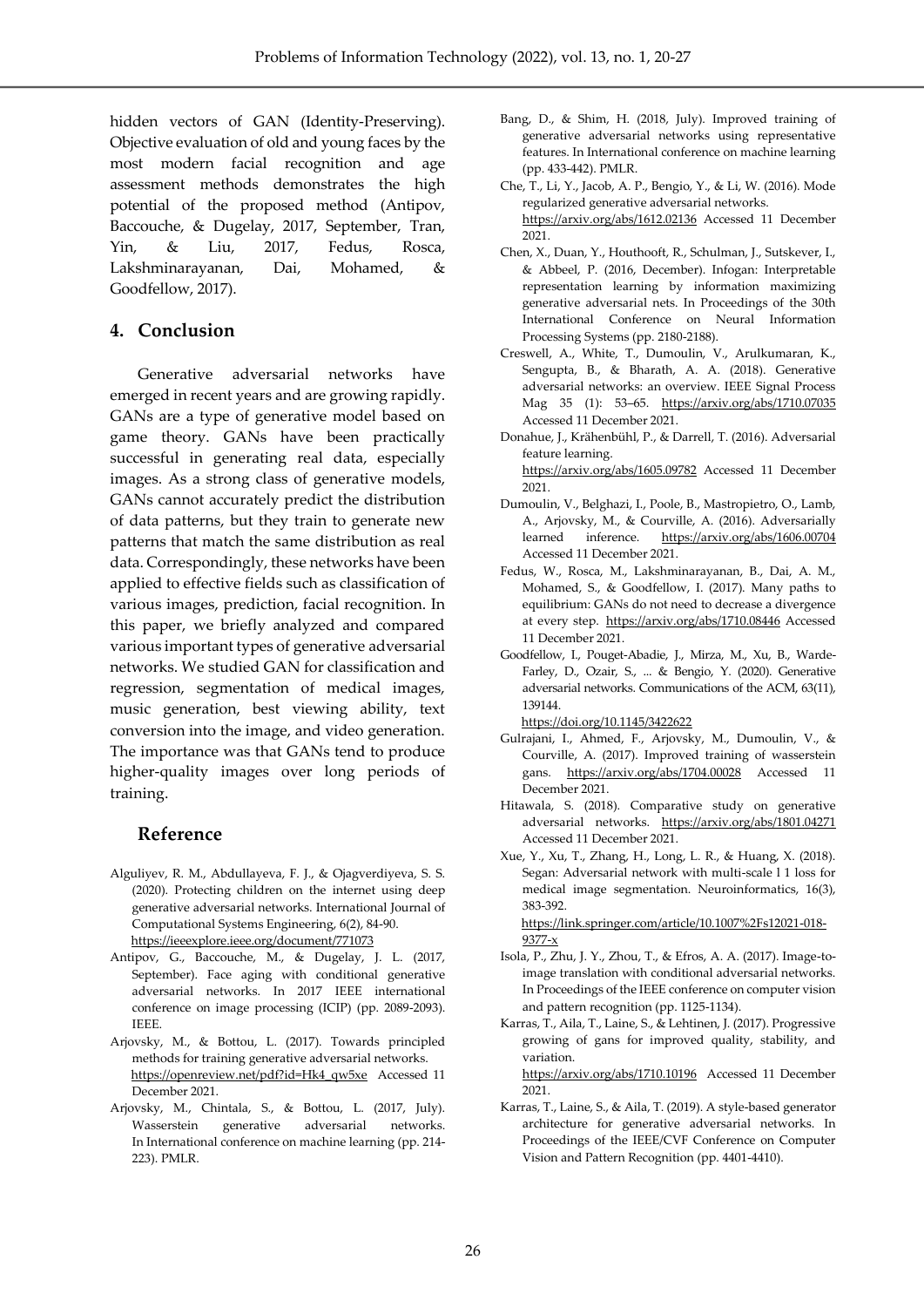hidden vectors of GAN (Identity-Preserving). Objective evaluation of old and young faces by the most modern facial recognition and age assessment methods demonstrates the high potential of the proposed method (Antipov, Baccouche, & Dugelay, 2017, September, Tran, Yin, & Liu, 2017, Fedus, Rosca, Lakshminarayanan, Dai, Mohamed, & Goodfellow, 2017).

#### **4. Conclusion**

Generative adversarial networks have emerged in recent years and are growing rapidly. GANs are a type of generative model based on game theory. GANs have been practically successful in generating real data, especially images. As a strong class of generative models, GANs cannot accurately predict the distribution of data patterns, but they train to generate new patterns that match the same distribution as real data. Correspondingly, these networks have been applied to effective fields such as classification of various images, prediction, facial recognition. In this paper, we briefly analyzed and compared various important types of generative adversarial networks. We studied GAN for classification and regression, segmentation of medical images, music generation, best viewing ability, text conversion into the image, and video generation. The importance was that GANs tend to produce higher-quality images over long periods of training.

#### **Reference**

- Alguliyev, R. M., Abdullayeva, F. J., & Ojagverdiyeva, S. S. (2020). Protecting children on the internet using deep generative adversarial networks. International Journal of Computational Systems Engineering, 6(2), 84-90. <https://ieeexplore.ieee.org/document/771073>
- Antipov, G., Baccouche, M., & Dugelay, J. L. (2017, September). Face aging with conditional generative adversarial networks. In 2017 IEEE international conference on image processing (ICIP) (pp. 2089-2093). IEEE.
- Arjovsky, M., & Bottou, L. (2017). Towards principled methods for training generative adversarial networks. [https://openreview.net/pdf?id=Hk4\\_qw5xe](https://openreview.net/pdf?id=Hk4_qw5xe) Accessed 11 December 2021.
- Arjovsky, M., Chintala, S., & Bottou, L. (2017, July). Wasserstein generative adversarial networks. In International conference on machine learning (pp. 214- 223). PMLR.
- Bang, D., & Shim, H. (2018, July). Improved training of generative adversarial networks using representative features. In International conference on machine learning (pp. 433-442). PMLR.
- Che, T., Li, Y., Jacob, A. P., Bengio, Y., & Li, W. (2016). Mode regularized generative adversarial networks. <https://arxiv.org/abs/1612.02136> Accessed 11 December 2021.
- Chen, X., Duan, Y., Houthooft, R., Schulman, J., Sutskever, I., & Abbeel, P. (2016, December). Infogan: Interpretable representation learning by information maximizing generative adversarial nets. In Proceedings of the 30th International Conference on Neural Information Processing Systems (pp. 2180-2188).
- Creswell, A., White, T., Dumoulin, V., Arulkumaran, K., Sengupta, B., & Bharath, A. A. (2018). Generative adversarial networks: an overview. IEEE Signal Process Mag 35 (1): 53–65. <https://arxiv.org/abs/1710.07035> Accessed 11 December 2021.
- Donahue, J., Krähenbühl, P., & Darrell, T. (2016). Adversarial feature learning.

<https://arxiv.org/abs/1605.09782> Accessed 11 December 2021.

- Dumoulin, V., Belghazi, I., Poole, B., Mastropietro, O., Lamb, A., Arjovsky, M., & Courville, A. (2016). Adversarially learned inference. https://arxiv.org/abs/1606.00704 <https://arxiv.org/abs/1606.00704> Accessed 11 December 2021.
- Fedus, W., Rosca, M., Lakshminarayanan, B., Dai, A. M., Mohamed, S., & Goodfellow, I. (2017). Many paths to equilibrium: GANs do not need to decrease a divergence at every step. <https://arxiv.org/abs/1710.08446> Accessed 11 December 2021.
- Goodfellow, I., Pouget-Abadie, J., Mirza, M., Xu, B., Warde-Farley, D., Ozair, S., ... & Bengio, Y. (2020). Generative adversarial networks. Communications of the ACM, 63(11), 139144.

<https://doi.org/10.1145/3422622>

- Gulrajani, I., Ahmed, F., Arjovsky, M., Dumoulin, V., & Courville, A. (2017). Improved training of wasserstein gans. <https://arxiv.org/abs/1704.00028> Accessed 11 December 2021.
- Hitawala, S. (2018). Comparative study on generative adversarial networks. <https://arxiv.org/abs/1801.04271> Accessed 11 December 2021.
- Xue, Y., Xu, T., Zhang, H., Long, L. R., & Huang, X. (2018). Segan: Adversarial network with multi-scale l 1 loss for medical image segmentation. Neuroinformatics, 16(3), 383-392.

[https://link.springer.com/article/10.1007%2Fs12021-018-](https://link.springer.com/article/10.1007%2Fs12021-018-9377-x) [9377-x](https://link.springer.com/article/10.1007%2Fs12021-018-9377-x)

- Isola, P., Zhu, J. Y., Zhou, T., & Efros, A. A. (2017). Image-toimage translation with conditional adversarial networks. In Proceedings of the IEEE conference on computer vision and pattern recognition (pp. 1125-1134).
- Karras, T., Aila, T., Laine, S., & Lehtinen, J. (2017). Progressive growing of gans for improved quality, stability, and variation.

<https://arxiv.org/abs/1710.10196>Accessed 11 December 2021.

Karras, T., Laine, S., & Aila, T. (2019). A style-based generator architecture for generative adversarial networks. In Proceedings of the IEEE/CVF Conference on Computer Vision and Pattern Recognition (pp. 4401-4410).